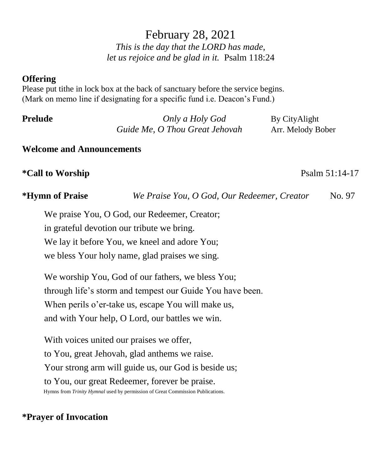# February 28, 2021 *This is the day that the LORD has made, let us rejoice and be glad in it.* Psalm 118:24

### **Offering**

Please put tithe in lock box at the back of sanctuary before the service begins. (Mark on memo line if designating for a specific fund i.e. Deacon's Fund.)

| Prelude | Only a Holy God                | By CityAlight     |
|---------|--------------------------------|-------------------|
|         | Guide Me, O Thou Great Jehovah | Arr. Melody Bober |

### **Welcome and Announcements**

## **\*Call to Worship** Psalm 51:14-17

**\*Hymn of Praise** *We Praise You, O God, Our Redeemer, Creator* No. 97

We praise You, O God, our Redeemer, Creator; in grateful devotion our tribute we bring. We lay it before You, we kneel and adore You; we bless Your holy name, glad praises we sing.

We worship You, God of our fathers, we bless You; through life's storm and tempest our Guide You have been. When perils o'er-take us, escape You will make us, and with Your help, O Lord, our battles we win.

With voices united our praises we offer, to You, great Jehovah, glad anthems we raise. Your strong arm will guide us, our God is beside us; to You, our great Redeemer, forever be praise. Hymns from *Trinity Hymnal* used by permission of Great Commission Publications.

## **\*Prayer of Invocation**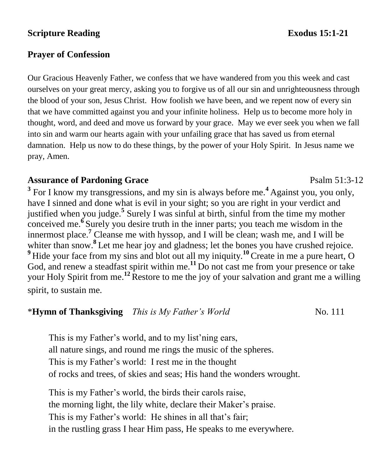## **Scripture Reading Exodus** 15:1-21

## **Prayer of Confession**

Our Gracious Heavenly Father, we confess that we have wandered from you this week and cast ourselves on your great mercy, asking you to forgive us of all our sin and unrighteousness through the blood of your son, Jesus Christ. How foolish we have been, and we repent now of every sin that we have committed against you and your infinite holiness. Help us to become more holy in thought, word, and deed and move us forward by your grace. May we ever seek you when we fall into sin and warm our hearts again with your unfailing grace that has saved us from eternal damnation. Help us now to do these things, by the power of your Holy Spirit. In Jesus name we pray, Amen.

## **Assurance of Pardoning Grace**  Psalm 51:3-12

**3** For I know my transgressions, and my sin is always before me.**<sup>4</sup>** Against you, you only, have I sinned and done what is evil in your sight; so you are right in your verdict and justified when you judge.**<sup>5</sup>** Surely I was sinful at birth, sinful from the time my mother conceived me.**<sup>6</sup>** Surely you desire truth in the inner parts; you teach me wisdom in the innermost place. **<sup>7</sup>** Cleanse me with hyssop, and I will be clean; wash me, and I will be whiter than snow.<sup>8</sup> Let me hear joy and gladness; let the bones you have crushed rejoice. <sup>9</sup> Hide your face from my sins and blot out all my iniquity.<sup>10</sup> Create in me a pure heart, O God, and renew a steadfast spirit within me.**<sup>11</sup>**Do not cast me from your presence or take your Holy Spirit from me.**<sup>12</sup>** Restore to me the joy of your salvation and grant me a willing spirit, to sustain me.

# \***Hymn of Thanksgiving** *This is My Father's World* No. 111

This is my Father's world, and to my list'ning ears, all nature sings, and round me rings the music of the spheres. This is my Father's world: I rest me in the thought of rocks and trees, of skies and seas; His hand the wonders wrought.

This is my Father's world, the birds their carols raise, the morning light, the lily white, declare their Maker's praise. This is my Father's world: He shines in all that's fair; in the rustling grass I hear Him pass, He speaks to me everywhere.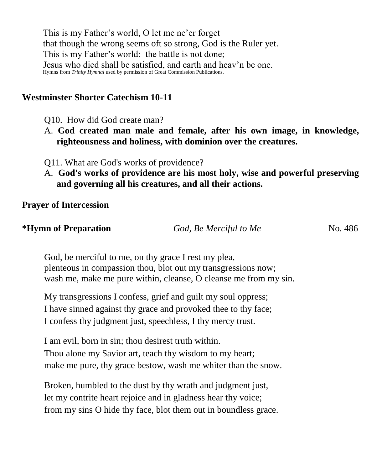This is my Father's world, O let me ne'er forget that though the wrong seems oft so strong, God is the Ruler yet. This is my Father's world: the battle is not done; Jesus who died shall be satisfied, and earth and heav'n be one. Hymns from *Trinity Hymnal* used by permission of Great Commission Publications. 

## **Westminster Shorter Catechism 10-11**

Q10. How did God create man?

- A. **God created man male and female, after his own image, in knowledge, righteousness and holiness, with dominion over the creatures.**
- Q11. What are God's works of providence?
- A. **God's works of providence are his most holy, wise and powerful preserving and governing all his creatures, and all their actions.**

**Prayer of Intercession**

| *Hymn of Preparation | God, Be Merciful to Me | No. 486 |
|----------------------|------------------------|---------|
|----------------------|------------------------|---------|

God, be merciful to me, on thy grace I rest my plea, plenteous in compassion thou, blot out my transgressions now; wash me, make me pure within, cleanse, O cleanse me from my sin.

My transgressions I confess, grief and guilt my soul oppress; I have sinned against thy grace and provoked thee to thy face; I confess thy judgment just, speechless, I thy mercy trust.

I am evil, born in sin; thou desirest truth within. Thou alone my Savior art, teach thy wisdom to my heart; make me pure, thy grace bestow, wash me whiter than the snow.

Broken, humbled to the dust by thy wrath and judgment just, let my contrite heart rejoice and in gladness hear thy voice; from my sins O hide thy face, blot them out in boundless grace.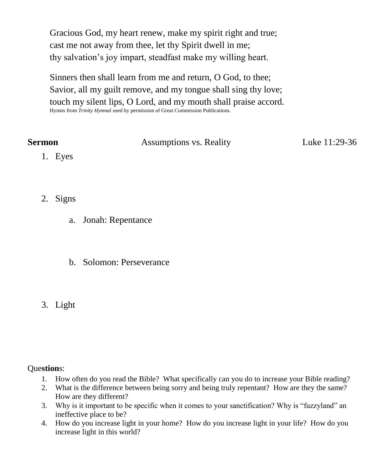Gracious God, my heart renew, make my spirit right and true; cast me not away from thee, let thy Spirit dwell in me; thy salvation's joy impart, steadfast make my willing heart.

Sinners then shall learn from me and return, O God, to thee; Savior, all my guilt remove, and my tongue shall sing thy love; touch my silent lips, O Lord, and my mouth shall praise accord. Hymns from *Trinity Hymnal* used by permission of Great Commission Publications. 

| <b>Sermon</b> | Assumptions vs. Reality | Luke 11:29-36 |
|---------------|-------------------------|---------------|
| 1. Eyes       |                         |               |

- 2. Signs
	- a. Jonah: Repentance
	- b. Solomon: Perseverance
- 3. Light

### Que**stion**s:

- 1. How often do you read the Bible? What specifically can you do to increase your Bible reading?
- 2. What is the difference between being sorry and being truly repentant? How are they the same? How are they different?
- 3. Why is it important to be specific when it comes to your sanctification? Why is "fuzzyland" an ineffective place to be?
- 4. How do you increase light in your home? How do you increase light in your life? How do you increase light in this world?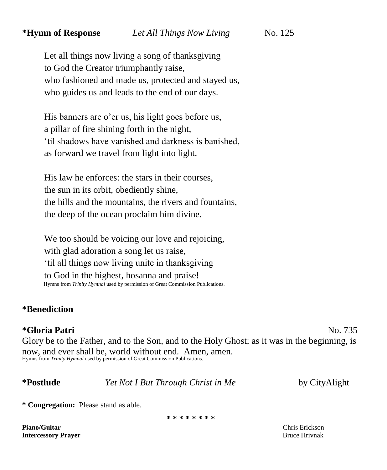Let all things now living a song of thanksgiving to God the Creator triumphantly raise, who fashioned and made us, protected and stayed us, who guides us and leads to the end of our days.

His banners are o'er us, his light goes before us, a pillar of fire shining forth in the night, 'til shadows have vanished and darkness is banished, as forward we travel from light into light.

His law he enforces: the stars in their courses, the sun in its orbit, obediently shine, the hills and the mountains, the rivers and fountains, the deep of the ocean proclaim him divine.

We too should be voicing our love and rejoicing, with glad adoration a song let us raise, 'til all things now living unite in thanksgiving to God in the highest, hosanna and praise! Hymns from *Trinity Hymnal* used by permission of Great Commission Publications.

### **\*Benediction**

## **\*Gloria Patri** No. 735

Glory be to the Father, and to the Son, and to the Holy Ghost; as it was in the beginning, is now, and ever shall be, world without end. Amen, amen. Hymns from *Trinity Hymnal* used by permission of Great Commission Publications.

**\*Postlude** *Yet Not I But Through Christ in Me* by CityAlight

**\* Congregation:** Please stand as able.

**\* \* \* \* \* \* \* \***

**Piano/Guitar** Chris Erickson **Intercessory Prayer** Bruce Hrivnak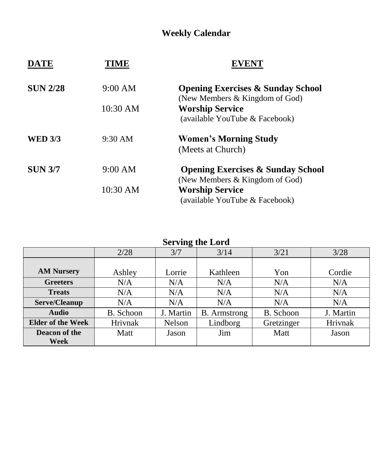# **Weekly Calendar**

| <b>DATE</b>     | 'IME              |                                                                                |
|-----------------|-------------------|--------------------------------------------------------------------------------|
| <b>SUN 2/28</b> | 9:00 AM           | <b>Opening Exercises &amp; Sunday School</b><br>(New Members & Kingdom of God) |
|                 | 10:30 AM          | <b>Worship Service</b>                                                         |
|                 |                   | (available YouTube & Facebook)                                                 |
| <b>WED 3/3</b>  | $9:30 \text{ AM}$ | <b>Women's Morning Study</b>                                                   |
|                 |                   | (Meets at Church)                                                              |
| <b>SUN 3/7</b>  | 9:00 AM           | <b>Opening Exercises &amp; Sunday School</b>                                   |
|                 |                   | (New Members & Kingdom of God)                                                 |
|                 | 10:30 AM          | <b>Worship Service</b><br>(available YouTube & Facebook)                       |

## **Serving the Lord**

|                          | 2/28      | 3/7       | 3/14                | 3/21       | 3/28      |
|--------------------------|-----------|-----------|---------------------|------------|-----------|
|                          |           |           |                     |            |           |
| <b>AM Nursery</b>        | Ashley    | Lorrie    | Kathleen            | Yon        | Cordie    |
| <b>Greeters</b>          | N/A       | N/A       | N/A                 | N/A        | N/A       |
| <b>Treats</b>            | N/A       | N/A       | N/A                 | N/A        | N/A       |
| Serve/Cleanup            | N/A       | N/A       | N/A                 | N/A        | N/A       |
| <b>Audio</b>             | B. Schoon | J. Martin | <b>B.</b> Armstrong | B. Schoon  | J. Martin |
| <b>Elder of the Week</b> | Hrivnak   | Nelson    | Lindborg            | Gretzinger | Hrivnak   |
| Deacon of the            | Matt      | Jason     | Jim                 | Matt       | Jason     |
| Week                     |           |           |                     |            |           |